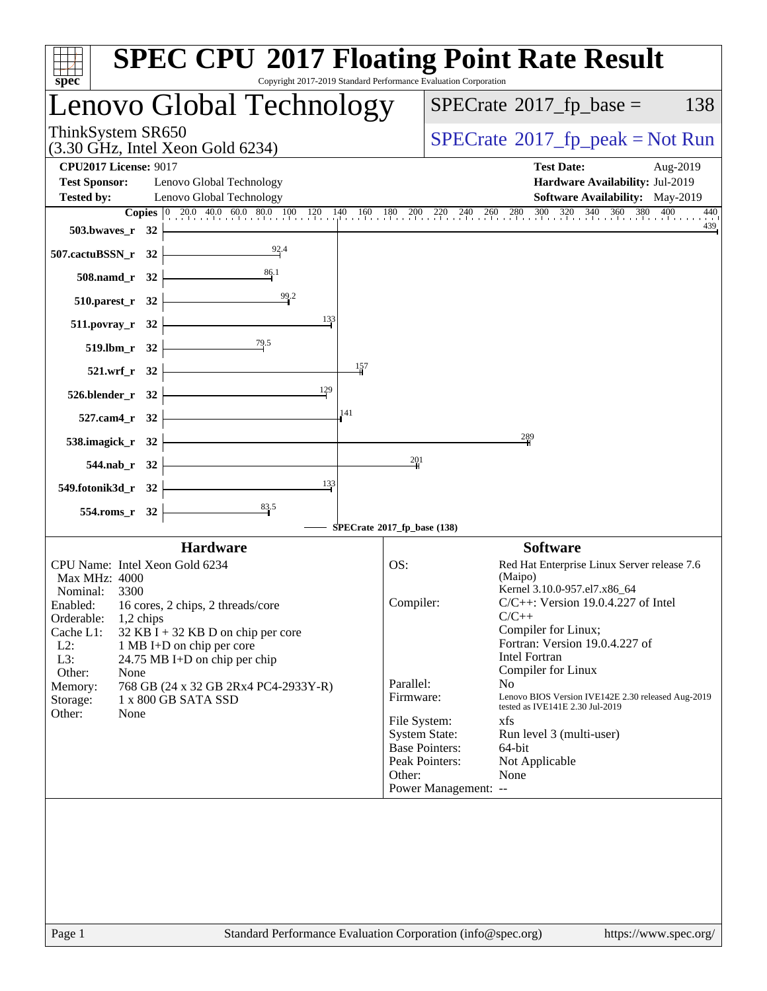| $spec^*$                                                                           | <b>SPEC CPU®2017 Floating Point Rate Result</b><br>Copyright 2017-2019 Standard Performance Evaluation Corporation                                                                 |
|------------------------------------------------------------------------------------|------------------------------------------------------------------------------------------------------------------------------------------------------------------------------------|
| Lenovo Global Technology                                                           | $SPECrate^{\circledast}2017$ _fp_base =<br>138                                                                                                                                     |
| ThinkSystem SR650<br>$(3.30 \text{ GHz}, \text{Intel Xeon Gold } 6234)$            | $SPECrate^{\circ}2017$ _fp_peak = Not Run                                                                                                                                          |
| <b>CPU2017 License: 9017</b><br><b>Test Sponsor:</b><br>Lenovo Global Technology   | <b>Test Date:</b><br>Aug-2019<br>Hardware Availability: Jul-2019                                                                                                                   |
| <b>Tested by:</b><br>Lenovo Global Technology                                      | <b>Software Availability:</b> May-2019<br>440                                                                                                                                      |
| 503.bwaves_r 32                                                                    | <b>Copies</b> $\begin{bmatrix} 0 & 20.0 & 40.0 & 60.0 & 80.0 & 100 & 120 & 140 & 160 & 180 & 200 & 220 & 240 & 260 & 280 & 300 & 320 & 340 & 360 & 380 & 400 \end{bmatrix}$<br>439 |
| $\frac{92.4}{7}$<br>507.cactuBSSN_r 32 $\vert$                                     |                                                                                                                                                                                    |
| 86.1<br>$508$ .namd_r 32                                                           |                                                                                                                                                                                    |
| $\frac{99.2}{1}$<br>$510.parest_r 32$                                              |                                                                                                                                                                                    |
| 133<br>$511.povray_r$ 32                                                           |                                                                                                                                                                                    |
| $\overline{79.5}$<br>$519.1$ bm_r 32 $\vdash$                                      |                                                                                                                                                                                    |
| 157<br>$521.wrf_r$ 32                                                              |                                                                                                                                                                                    |
| 129<br>$526.$ blender_r 32 $\vert$                                                 |                                                                                                                                                                                    |
| 141<br>$527$ .cam4_r 32 $\pm$                                                      |                                                                                                                                                                                    |
| 538.imagick_r $32$                                                                 | $^{289}$                                                                                                                                                                           |
| $544$ .nab_r $32$                                                                  | 201                                                                                                                                                                                |
| $\frac{133}{2}$<br>549.fotonik3d_r 32                                              |                                                                                                                                                                                    |
| $554$ .roms_r 32                                                                   | SPECrate®2017_fp_base (138)                                                                                                                                                        |
| <b>Hardware</b>                                                                    | <b>Software</b>                                                                                                                                                                    |
| CPU Name: Intel Xeon Gold 6234                                                     | OS:<br>Red Hat Enterprise Linux Server release 7.6                                                                                                                                 |
| Max MHz: 4000<br>Nominal: 3300                                                     | (Maipo)<br>Kernel 3.10.0-957.el7.x86_64                                                                                                                                            |
| Enabled:<br>16 cores, 2 chips, 2 threads/core<br>Orderable:<br>$1,2$ chips         | $C/C++$ : Version 19.0.4.227 of Intel<br>Compiler:<br>$C/C++$                                                                                                                      |
| Cache L1:<br>$32$ KB I + 32 KB D on chip per core                                  | Compiler for Linux;                                                                                                                                                                |
| $L2$ :<br>1 MB I+D on chip per core<br>L3:<br>24.75 MB I+D on chip per chip        | Fortran: Version 19.0.4.227 of<br><b>Intel Fortran</b>                                                                                                                             |
| Other:<br>None                                                                     | Compiler for Linux                                                                                                                                                                 |
| Memory:<br>768 GB (24 x 32 GB 2Rx4 PC4-2933Y-R)<br>Storage:<br>1 x 800 GB SATA SSD | Parallel:<br>No.<br>Lenovo BIOS Version IVE142E 2.30 released Aug-2019<br>Firmware:<br>tested as IVE141E 2.30 Jul-2019                                                             |
| Other:<br>None                                                                     | File System:<br>xfs                                                                                                                                                                |
|                                                                                    | <b>System State:</b><br>Run level 3 (multi-user)<br><b>Base Pointers:</b><br>64-bit                                                                                                |
|                                                                                    | Peak Pointers:<br>Not Applicable                                                                                                                                                   |
|                                                                                    | Other:<br>None<br>Power Management: --                                                                                                                                             |
|                                                                                    |                                                                                                                                                                                    |
|                                                                                    |                                                                                                                                                                                    |
|                                                                                    |                                                                                                                                                                                    |
|                                                                                    |                                                                                                                                                                                    |
|                                                                                    |                                                                                                                                                                                    |
|                                                                                    |                                                                                                                                                                                    |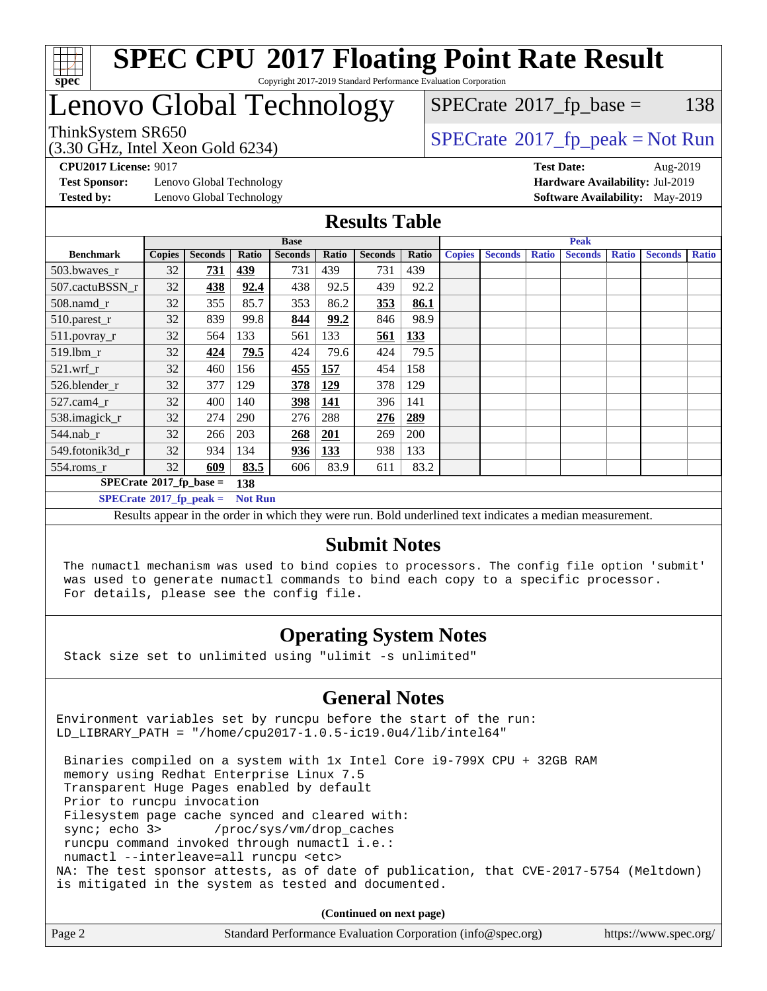

# Lenovo Global Technology

(3.30 GHz, Intel Xeon Gold 6234)

 $SPECTate@2017_fp\_base = 138$ 

### $SPECTate@2017_fp\_peak = Not Run$

**[Test Sponsor:](http://www.spec.org/auto/cpu2017/Docs/result-fields.html#TestSponsor)** Lenovo Global Technology **[Hardware Availability:](http://www.spec.org/auto/cpu2017/Docs/result-fields.html#HardwareAvailability)** Jul-2019 **[Tested by:](http://www.spec.org/auto/cpu2017/Docs/result-fields.html#Testedby)** Lenovo Global Technology **[Software Availability:](http://www.spec.org/auto/cpu2017/Docs/result-fields.html#SoftwareAvailability)** May-2019

**[CPU2017 License:](http://www.spec.org/auto/cpu2017/Docs/result-fields.html#CPU2017License)** 9017 **[Test Date:](http://www.spec.org/auto/cpu2017/Docs/result-fields.html#TestDate)** Aug-2019

#### **[Results Table](http://www.spec.org/auto/cpu2017/Docs/result-fields.html#ResultsTable)**

|                                               | <b>Base</b>   |                |            |                |       |                | <b>Peak</b> |               |                |              |                |              |                |              |
|-----------------------------------------------|---------------|----------------|------------|----------------|-------|----------------|-------------|---------------|----------------|--------------|----------------|--------------|----------------|--------------|
| <b>Benchmark</b>                              | <b>Copies</b> | <b>Seconds</b> | Ratio      | <b>Seconds</b> | Ratio | <b>Seconds</b> | Ratio       | <b>Copies</b> | <b>Seconds</b> | <b>Ratio</b> | <b>Seconds</b> | <b>Ratio</b> | <b>Seconds</b> | <b>Ratio</b> |
| 503.bwayes_r                                  | 32            | <u>731</u>     | <u>439</u> | 731            | 439   | 731            | 439         |               |                |              |                |              |                |              |
| 507.cactuBSSN r                               | 32            | 438            | 92.4       | 438            | 92.5  | 439            | 92.2        |               |                |              |                |              |                |              |
| $508$ .namd $r$                               | 32            | 355            | 85.7       | 353            | 86.2  | 353            | 86.1        |               |                |              |                |              |                |              |
| 510.parest_r                                  | 32            | 839            | 99.8       | 844            | 99.2  | 846            | 98.9        |               |                |              |                |              |                |              |
| 511.povray_r                                  | 32            | 564            | 133        | 561            | 133   | 561            | <u>133</u>  |               |                |              |                |              |                |              |
| 519.lbm_r                                     | 32            | 424            | 79.5       | 424            | 79.6  | 424            | 79.5        |               |                |              |                |              |                |              |
| $521$ .wrf r                                  | 32            | 460            | 156        | 455            | 157   | 454            | 158         |               |                |              |                |              |                |              |
| 526.blender_r                                 | 32            | 377            | 129        | 378            | 129   | 378            | 129         |               |                |              |                |              |                |              |
| $527.cam4_r$                                  | 32            | 400            | 140        | 398            | 141   | 396            | 141         |               |                |              |                |              |                |              |
| 538.imagick_r                                 | 32            | 274            | 290        | 276            | 288   | 276            | 289         |               |                |              |                |              |                |              |
| $544$ .nab r                                  | 32            | 266            | 203        | 268            | 201   | 269            | 200         |               |                |              |                |              |                |              |
| 549.fotonik3d r                               | 32            | 934            | 134        | 936            | 133   | 938            | 133         |               |                |              |                |              |                |              |
| $554$ .roms_r                                 | 32            | 609            | 83.5       | 606            | 83.9  | 611            | 83.2        |               |                |              |                |              |                |              |
| $SPECrate*2017_fp\_base =$                    |               |                | 138        |                |       |                |             |               |                |              |                |              |                |              |
| $SPECrate^*2017_fp\_peak =$<br><b>Not Run</b> |               |                |            |                |       |                |             |               |                |              |                |              |                |              |

Results appear in the [order in which they were run.](http://www.spec.org/auto/cpu2017/Docs/result-fields.html#RunOrder) Bold underlined text [indicates a median measurement.](http://www.spec.org/auto/cpu2017/Docs/result-fields.html#Median)

#### **[Submit Notes](http://www.spec.org/auto/cpu2017/Docs/result-fields.html#SubmitNotes)**

 The numactl mechanism was used to bind copies to processors. The config file option 'submit' was used to generate numactl commands to bind each copy to a specific processor. For details, please see the config file.

### **[Operating System Notes](http://www.spec.org/auto/cpu2017/Docs/result-fields.html#OperatingSystemNotes)**

Stack size set to unlimited using "ulimit -s unlimited"

### **[General Notes](http://www.spec.org/auto/cpu2017/Docs/result-fields.html#GeneralNotes)**

Environment variables set by runcpu before the start of the run: LD\_LIBRARY\_PATH = "/home/cpu2017-1.0.5-ic19.0u4/lib/intel64"

 Binaries compiled on a system with 1x Intel Core i9-799X CPU + 32GB RAM memory using Redhat Enterprise Linux 7.5 Transparent Huge Pages enabled by default Prior to runcpu invocation Filesystem page cache synced and cleared with: sync; echo 3> /proc/sys/vm/drop\_caches runcpu command invoked through numactl i.e.: numactl --interleave=all runcpu <etc> NA: The test sponsor attests, as of date of publication, that CVE-2017-5754 (Meltdown) is mitigated in the system as tested and documented.

**(Continued on next page)**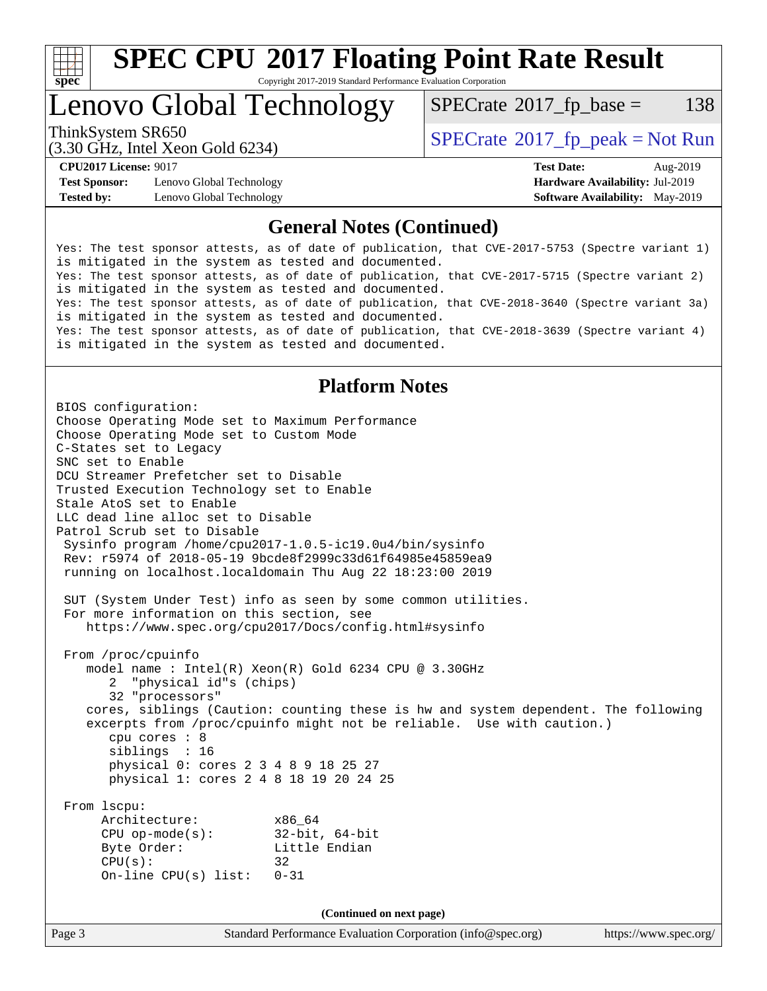

# **[SPEC CPU](http://www.spec.org/auto/cpu2017/Docs/result-fields.html#SPECCPU2017FloatingPointRateResult)[2017 Floating Point Rate Result](http://www.spec.org/auto/cpu2017/Docs/result-fields.html#SPECCPU2017FloatingPointRateResult)**

Copyright 2017-2019 Standard Performance Evaluation Corporation

# Lenovo Global Technology

 $SPECTate@2017_fp\_base = 138$ 

(3.30 GHz, Intel Xeon Gold 6234)

ThinkSystem SR650<br>  $SPECTI<sub>2</sub> 20 CI<sub>2</sub> Intel Yeso Gold 6234$ 

**[Test Sponsor:](http://www.spec.org/auto/cpu2017/Docs/result-fields.html#TestSponsor)** Lenovo Global Technology **[Hardware Availability:](http://www.spec.org/auto/cpu2017/Docs/result-fields.html#HardwareAvailability)** Jul-2019 **[Tested by:](http://www.spec.org/auto/cpu2017/Docs/result-fields.html#Testedby)** Lenovo Global Technology **[Software Availability:](http://www.spec.org/auto/cpu2017/Docs/result-fields.html#SoftwareAvailability)** May-2019

**[CPU2017 License:](http://www.spec.org/auto/cpu2017/Docs/result-fields.html#CPU2017License)** 9017 **[Test Date:](http://www.spec.org/auto/cpu2017/Docs/result-fields.html#TestDate)** Aug-2019

#### **[General Notes \(Continued\)](http://www.spec.org/auto/cpu2017/Docs/result-fields.html#GeneralNotes)**

Yes: The test sponsor attests, as of date of publication, that CVE-2017-5753 (Spectre variant 1) is mitigated in the system as tested and documented. Yes: The test sponsor attests, as of date of publication, that CVE-2017-5715 (Spectre variant 2) is mitigated in the system as tested and documented. Yes: The test sponsor attests, as of date of publication, that CVE-2018-3640 (Spectre variant 3a) is mitigated in the system as tested and documented. Yes: The test sponsor attests, as of date of publication, that CVE-2018-3639 (Spectre variant 4) is mitigated in the system as tested and documented.

#### **[Platform Notes](http://www.spec.org/auto/cpu2017/Docs/result-fields.html#PlatformNotes)**

Page 3 Standard Performance Evaluation Corporation [\(info@spec.org\)](mailto:info@spec.org) <https://www.spec.org/> BIOS configuration: Choose Operating Mode set to Maximum Performance Choose Operating Mode set to Custom Mode C-States set to Legacy SNC set to Enable DCU Streamer Prefetcher set to Disable Trusted Execution Technology set to Enable Stale AtoS set to Enable LLC dead line alloc set to Disable Patrol Scrub set to Disable Sysinfo program /home/cpu2017-1.0.5-ic19.0u4/bin/sysinfo Rev: r5974 of 2018-05-19 9bcde8f2999c33d61f64985e45859ea9 running on localhost.localdomain Thu Aug 22 18:23:00 2019 SUT (System Under Test) info as seen by some common utilities. For more information on this section, see <https://www.spec.org/cpu2017/Docs/config.html#sysinfo> From /proc/cpuinfo model name : Intel(R) Xeon(R) Gold 6234 CPU @ 3.30GHz 2 "physical id"s (chips) 32 "processors" cores, siblings (Caution: counting these is hw and system dependent. The following excerpts from /proc/cpuinfo might not be reliable. Use with caution.) cpu cores : 8 siblings : 16 physical 0: cores 2 3 4 8 9 18 25 27 physical 1: cores 2 4 8 18 19 20 24 25 From lscpu: Architecture: x86\_64 CPU op-mode(s): 32-bit, 64-bit Byte Order: Little Endian  $CPU(s):$  32 On-line CPU(s) list: 0-31 **(Continued on next page)**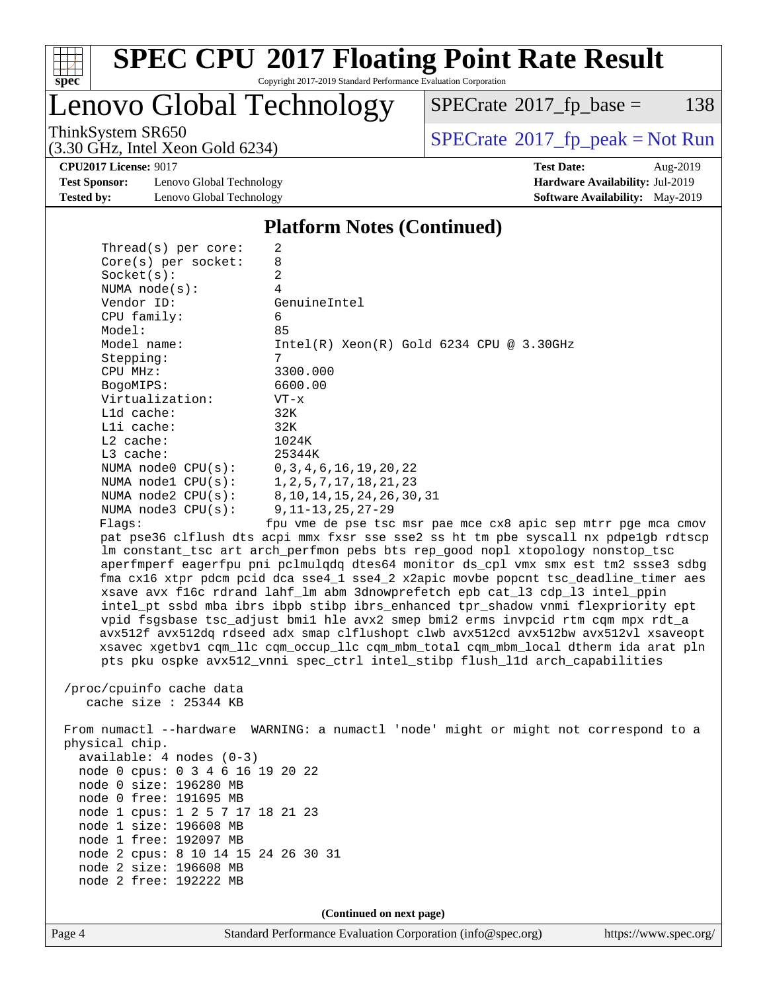

# **[SPEC CPU](http://www.spec.org/auto/cpu2017/Docs/result-fields.html#SPECCPU2017FloatingPointRateResult)[2017 Floating Point Rate Result](http://www.spec.org/auto/cpu2017/Docs/result-fields.html#SPECCPU2017FloatingPointRateResult)**

Copyright 2017-2019 Standard Performance Evaluation Corporation

Lenovo Global Technology

 $SPECTate@2017_fp\_base = 138$ 

(3.30 GHz, Intel Xeon Gold 6234)

ThinkSystem SR650<br>  $(3.30 \text{ GHz}_{\text{1}} \text{ Intel } \text{Yoon} \text{ Gold } 6234)$  [SPECrate](http://www.spec.org/auto/cpu2017/Docs/result-fields.html#SPECrate2017fppeak)®[2017\\_fp\\_peak = N](http://www.spec.org/auto/cpu2017/Docs/result-fields.html#SPECrate2017fppeak)ot Run

**[CPU2017 License:](http://www.spec.org/auto/cpu2017/Docs/result-fields.html#CPU2017License)** 9017 **[Test Date:](http://www.spec.org/auto/cpu2017/Docs/result-fields.html#TestDate)** Aug-2019

**[Test Sponsor:](http://www.spec.org/auto/cpu2017/Docs/result-fields.html#TestSponsor)** Lenovo Global Technology **[Hardware Availability:](http://www.spec.org/auto/cpu2017/Docs/result-fields.html#HardwareAvailability)** Jul-2019 **[Tested by:](http://www.spec.org/auto/cpu2017/Docs/result-fields.html#Testedby)** Lenovo Global Technology **[Software Availability:](http://www.spec.org/auto/cpu2017/Docs/result-fields.html#SoftwareAvailability)** May-2019

#### **[Platform Notes \(Continued\)](http://www.spec.org/auto/cpu2017/Docs/result-fields.html#PlatformNotes)**

| Thread(s) per core:                           | 2                                                                                    |
|-----------------------------------------------|--------------------------------------------------------------------------------------|
| $Core(s)$ per socket:                         | 8                                                                                    |
| Socket(s):                                    | 2                                                                                    |
| NUMA $node(s):$                               | 4                                                                                    |
| Vendor ID:                                    | GenuineIntel                                                                         |
| $CPU$ family:                                 | 6                                                                                    |
| Model:                                        | 85                                                                                   |
| Model name:                                   | $Intel(R)$ Xeon $(R)$ Gold 6234 CPU @ 3.30GHz                                        |
| Stepping:                                     | 7                                                                                    |
| CPU MHz:                                      | 3300.000                                                                             |
| BogoMIPS:                                     | 6600.00                                                                              |
| Virtualization:                               | $VT - x$                                                                             |
| $L1d$ cache:                                  | 32K                                                                                  |
| $L1i$ cache:                                  | 32K                                                                                  |
| $L2$ cache:                                   | 1024K                                                                                |
| $L3$ cache:                                   | 25344K                                                                               |
| NUMA node0 CPU(s): 0,3,4,6,16,19,20,22        |                                                                                      |
| NUMA node1 CPU(s): 1, 2, 5, 7, 17, 18, 21, 23 |                                                                                      |
|                                               | NUMA node2 CPU(s): 8, 10, 14, 15, 24, 26, 30, 31                                     |
| NUMA $node3$ $CPU(s):$                        | 9,11–13,25,27–29                                                                     |
| Flaqs:                                        | fpu vme de pse tsc msr pae mce cx8 apic sep mtrr pqe mca cmov                        |
|                                               | pat pse36 clflush dts acpi mmx fxsr sse sse2 ss ht tm pbe syscall nx pdpe1gb rdtscp  |
|                                               | Im constant_tsc art arch_perfmon pebs bts rep_good nopl xtopology nonstop_tsc        |
|                                               | aperfmperf eagerfpu pni pclmulqdq dtes64 monitor ds_cpl vmx smx est tm2 ssse3 sdbg   |
|                                               | fma cx16 xtpr pdcm pcid dca sse4_1 sse4_2 x2apic movbe popcnt tsc_deadline_timer aes |
|                                               | xsave avx f16c rdrand lahf_lm abm 3dnowprefetch epb cat_13 cdp_13 intel_ppin         |

 intel\_pt ssbd mba ibrs ibpb stibp ibrs\_enhanced tpr\_shadow vnmi flexpriority ept vpid fsgsbase tsc\_adjust bmi1 hle avx2 smep bmi2 erms invpcid rtm cqm mpx rdt\_a avx512f avx512dq rdseed adx smap clflushopt clwb avx512cd avx512bw avx512vl xsaveopt xsavec xgetbv1 cqm\_llc cqm\_occup\_llc cqm\_mbm\_total cqm\_mbm\_local dtherm ida arat pln pts pku ospke avx512\_vnni spec\_ctrl intel\_stibp flush\_l1d arch\_capabilities

 /proc/cpuinfo cache data cache size : 25344 KB

 From numactl --hardware WARNING: a numactl 'node' might or might not correspond to a physical chip. available: 4 nodes (0-3) node 0 cpus: 0 3 4 6 16 19 20 22 node 0 size: 196280 MB node 0 free: 191695 MB node 1 cpus: 1 2 5 7 17 18 21 23 node 1 size: 196608 MB node 1 free: 192097 MB node 2 cpus: 8 10 14 15 24 26 30 31 node 2 size: 196608 MB node 2 free: 192222 MB

**(Continued on next page)**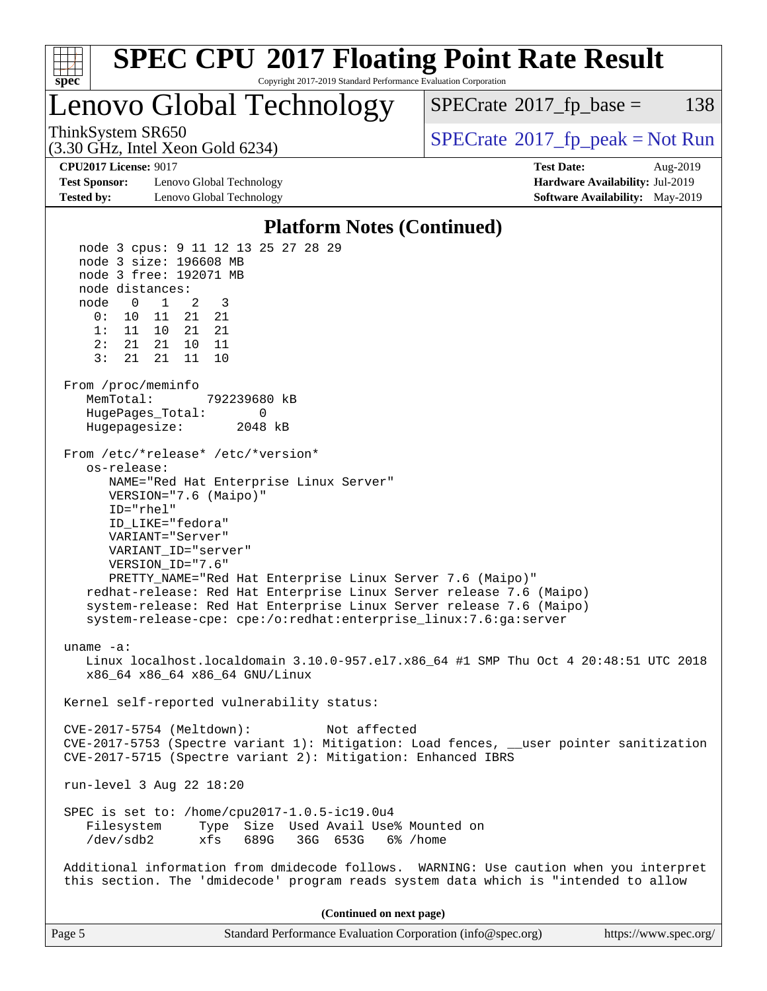

| Page 5<br>Standard Performance Evaluation Corporation (info@spec.org) | https://www.spec.org/ |
|-----------------------------------------------------------------------|-----------------------|
|-----------------------------------------------------------------------|-----------------------|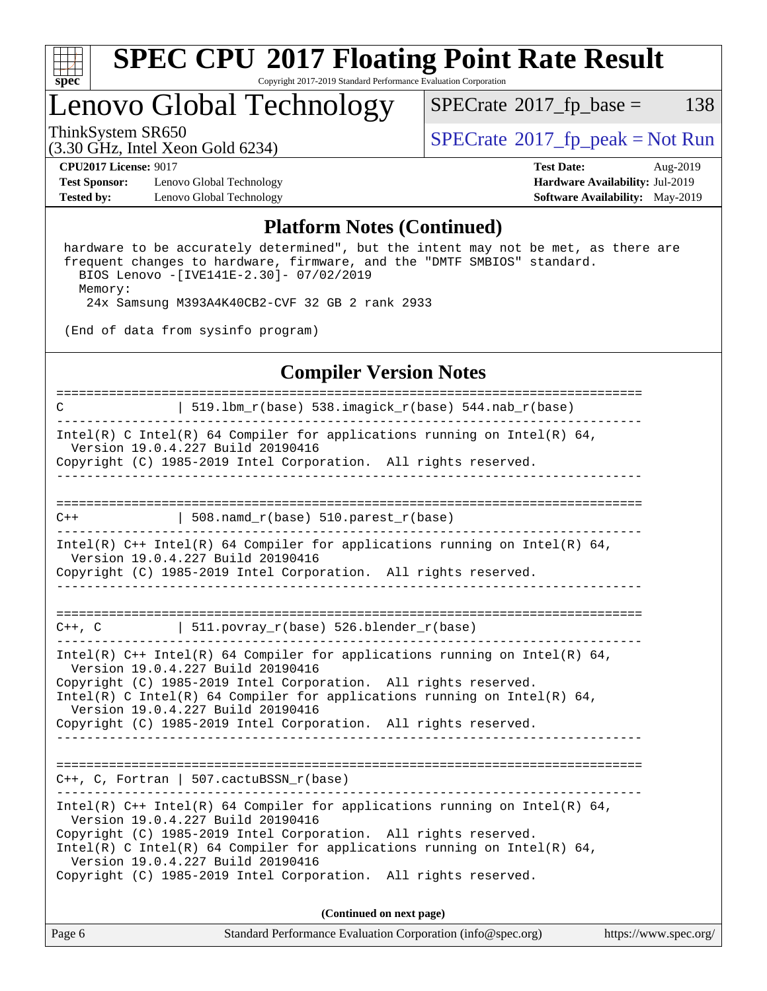

## Lenovo Global Technology

 $SPECTate@2017_fp\_base = 138$ 

(3.30 GHz, Intel Xeon Gold 6234)

ThinkSystem SR650<br>  $(3.30 \text{ GHz}_{\text{1}} \text{ Intel } \text{Yoon} \text{ Gold } 6234)$  [SPECrate](http://www.spec.org/auto/cpu2017/Docs/result-fields.html#SPECrate2017fppeak)®[2017\\_fp\\_peak = N](http://www.spec.org/auto/cpu2017/Docs/result-fields.html#SPECrate2017fppeak)ot Run

**[Test Sponsor:](http://www.spec.org/auto/cpu2017/Docs/result-fields.html#TestSponsor)** Lenovo Global Technology **[Hardware Availability:](http://www.spec.org/auto/cpu2017/Docs/result-fields.html#HardwareAvailability)** Jul-2019 **[Tested by:](http://www.spec.org/auto/cpu2017/Docs/result-fields.html#Testedby)** Lenovo Global Technology **[Software Availability:](http://www.spec.org/auto/cpu2017/Docs/result-fields.html#SoftwareAvailability)** May-2019

**[CPU2017 License:](http://www.spec.org/auto/cpu2017/Docs/result-fields.html#CPU2017License)** 9017 **[Test Date:](http://www.spec.org/auto/cpu2017/Docs/result-fields.html#TestDate)** Aug-2019

#### **[Platform Notes \(Continued\)](http://www.spec.org/auto/cpu2017/Docs/result-fields.html#PlatformNotes)**

 hardware to be accurately determined", but the intent may not be met, as there are frequent changes to hardware, firmware, and the "DMTF SMBIOS" standard. BIOS Lenovo -[IVE141E-2.30]- 07/02/2019 Memory: 24x Samsung M393A4K40CB2-CVF 32 GB 2 rank 2933

(End of data from sysinfo program)

#### **[Compiler Version Notes](http://www.spec.org/auto/cpu2017/Docs/result-fields.html#CompilerVersionNotes)**

| 519.1bm_r(base) 538.imagick_r(base) 544.nab_r(base)<br>C                                                                                                                                                                                                                                                                                                                 |  |  |  |  |  |
|--------------------------------------------------------------------------------------------------------------------------------------------------------------------------------------------------------------------------------------------------------------------------------------------------------------------------------------------------------------------------|--|--|--|--|--|
| Intel(R) C Intel(R) 64 Compiler for applications running on Intel(R) 64,<br>Version 19.0.4.227 Build 20190416<br>Copyright (C) 1985-2019 Intel Corporation. All rights reserved.                                                                                                                                                                                         |  |  |  |  |  |
|                                                                                                                                                                                                                                                                                                                                                                          |  |  |  |  |  |
| 508.namd_r(base) 510.parest_r(base)<br>$C++$                                                                                                                                                                                                                                                                                                                             |  |  |  |  |  |
| Intel(R) $C++$ Intel(R) 64 Compiler for applications running on Intel(R) 64,<br>Version 19.0.4.227 Build 20190416<br>Copyright (C) 1985-2019 Intel Corporation. All rights reserved.                                                                                                                                                                                     |  |  |  |  |  |
| $C++$ , C $\vert$ 511.povray_r(base) 526.blender_r(base)                                                                                                                                                                                                                                                                                                                 |  |  |  |  |  |
| Intel(R) $C++$ Intel(R) 64 Compiler for applications running on Intel(R) 64,<br>Version 19.0.4.227 Build 20190416<br>Copyright (C) 1985-2019 Intel Corporation. All rights reserved.<br>Intel(R) C Intel(R) 64 Compiler for applications running on Intel(R) 64,<br>Version 19.0.4.227 Build 20190416<br>Copyright (C) 1985-2019 Intel Corporation. All rights reserved. |  |  |  |  |  |
| $C++$ , C, Fortran   507.cactuBSSN_r(base)                                                                                                                                                                                                                                                                                                                               |  |  |  |  |  |
| Intel(R) $C++$ Intel(R) 64 Compiler for applications running on Intel(R) 64,<br>Version 19.0.4.227 Build 20190416<br>Copyright (C) 1985-2019 Intel Corporation. All rights reserved.<br>Intel(R) C Intel(R) 64 Compiler for applications running on Intel(R) 64,<br>Version 19.0.4.227 Build 20190416<br>Copyright (C) 1985-2019 Intel Corporation. All rights reserved. |  |  |  |  |  |
| (Continued on next page)                                                                                                                                                                                                                                                                                                                                                 |  |  |  |  |  |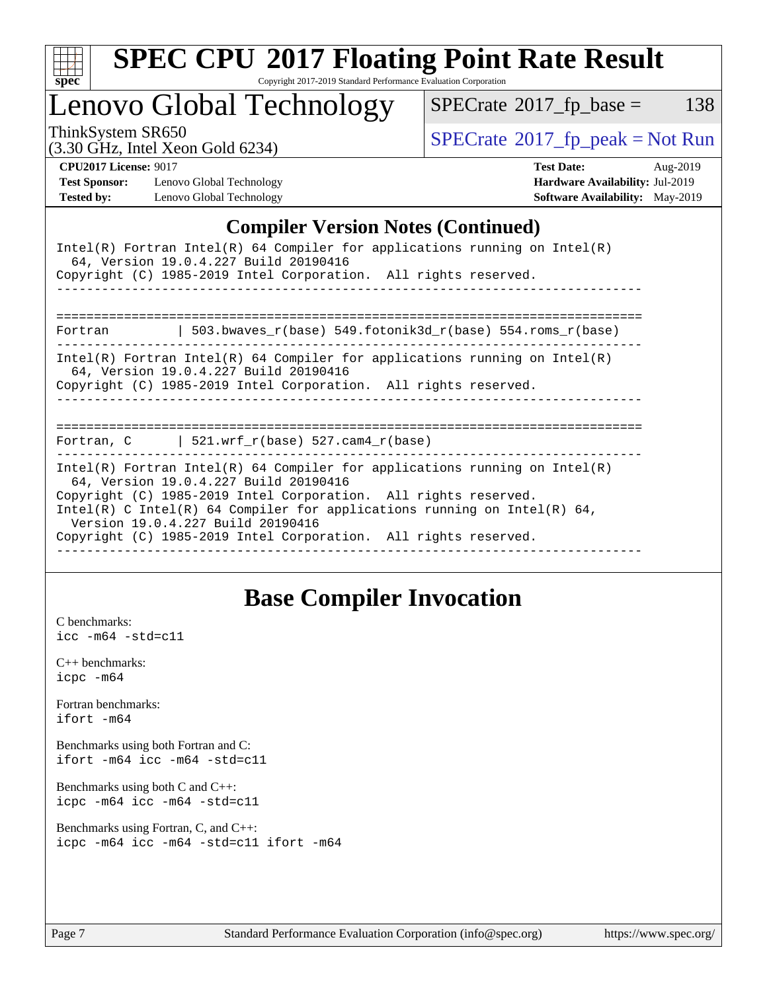

# **[SPEC CPU](http://www.spec.org/auto/cpu2017/Docs/result-fields.html#SPECCPU2017FloatingPointRateResult)[2017 Floating Point Rate Result](http://www.spec.org/auto/cpu2017/Docs/result-fields.html#SPECCPU2017FloatingPointRateResult)**

Copyright 2017-2019 Standard Performance Evaluation Corporation

Lenovo Global Technology

 $SPECTate@2017_fp\_base = 138$ 

(3.30 GHz, Intel Xeon Gold 6234)

ThinkSystem SR650<br>  $(3.30 \text{ GHz}_{\text{1}} \text{ Intel } \text{Yoon} \text{ Gold } 6234)$  [SPECrate](http://www.spec.org/auto/cpu2017/Docs/result-fields.html#SPECrate2017fppeak)®[2017\\_fp\\_peak = N](http://www.spec.org/auto/cpu2017/Docs/result-fields.html#SPECrate2017fppeak)ot Run

**[Test Sponsor:](http://www.spec.org/auto/cpu2017/Docs/result-fields.html#TestSponsor)** Lenovo Global Technology **[Hardware Availability:](http://www.spec.org/auto/cpu2017/Docs/result-fields.html#HardwareAvailability)** Jul-2019 **[Tested by:](http://www.spec.org/auto/cpu2017/Docs/result-fields.html#Testedby)** Lenovo Global Technology **[Software Availability:](http://www.spec.org/auto/cpu2017/Docs/result-fields.html#SoftwareAvailability)** May-2019

**[CPU2017 License:](http://www.spec.org/auto/cpu2017/Docs/result-fields.html#CPU2017License)** 9017 **[Test Date:](http://www.spec.org/auto/cpu2017/Docs/result-fields.html#TestDate)** Aug-2019

#### **[Compiler Version Notes \(Continued\)](http://www.spec.org/auto/cpu2017/Docs/result-fields.html#CompilerVersionNotes)**

| Intel(R) Fortran Intel(R) 64 Compiler for applications running on Intel(R)<br>64, Version 19.0.4.227 Build 20190416<br>Copyright (C) 1985-2019 Intel Corporation. All rights reserved.                                                                                                                                                                                     |  |  |  |  |  |
|----------------------------------------------------------------------------------------------------------------------------------------------------------------------------------------------------------------------------------------------------------------------------------------------------------------------------------------------------------------------------|--|--|--|--|--|
|                                                                                                                                                                                                                                                                                                                                                                            |  |  |  |  |  |
| 503.bwaves $r(base)$ 549.fotonik3d $r(base)$ 554.roms $r(base)$<br>Fortran                                                                                                                                                                                                                                                                                                 |  |  |  |  |  |
| Intel(R) Fortran Intel(R) 64 Compiler for applications running on Intel(R)<br>64, Version 19.0.4.227 Build 20190416<br>Copyright (C) 1985-2019 Intel Corporation. All rights reserved.                                                                                                                                                                                     |  |  |  |  |  |
| Fortran, C $\vert$ 521.wrf_r(base) 527.cam4_r(base)                                                                                                                                                                                                                                                                                                                        |  |  |  |  |  |
| Intel(R) Fortran Intel(R) 64 Compiler for applications running on Intel(R)<br>64, Version 19.0.4.227 Build 20190416<br>Copyright (C) 1985-2019 Intel Corporation. All rights reserved.<br>Intel(R) C Intel(R) 64 Compiler for applications running on Intel(R) 64,<br>Version 19.0.4.227 Build 20190416<br>Copyright (C) 1985-2019 Intel Corporation. All rights reserved. |  |  |  |  |  |

### **[Base Compiler Invocation](http://www.spec.org/auto/cpu2017/Docs/result-fields.html#BaseCompilerInvocation)**

[C benchmarks](http://www.spec.org/auto/cpu2017/Docs/result-fields.html#Cbenchmarks): [icc -m64 -std=c11](http://www.spec.org/cpu2017/results/res2019q3/cpu2017-20190902-17412.flags.html#user_CCbase_intel_icc_64bit_c11_33ee0cdaae7deeeab2a9725423ba97205ce30f63b9926c2519791662299b76a0318f32ddfffdc46587804de3178b4f9328c46fa7c2b0cd779d7a61945c91cd35)

[C++ benchmarks:](http://www.spec.org/auto/cpu2017/Docs/result-fields.html#CXXbenchmarks) [icpc -m64](http://www.spec.org/cpu2017/results/res2019q3/cpu2017-20190902-17412.flags.html#user_CXXbase_intel_icpc_64bit_4ecb2543ae3f1412ef961e0650ca070fec7b7afdcd6ed48761b84423119d1bf6bdf5cad15b44d48e7256388bc77273b966e5eb805aefd121eb22e9299b2ec9d9)

[Fortran benchmarks](http://www.spec.org/auto/cpu2017/Docs/result-fields.html#Fortranbenchmarks): [ifort -m64](http://www.spec.org/cpu2017/results/res2019q3/cpu2017-20190902-17412.flags.html#user_FCbase_intel_ifort_64bit_24f2bb282fbaeffd6157abe4f878425411749daecae9a33200eee2bee2fe76f3b89351d69a8130dd5949958ce389cf37ff59a95e7a40d588e8d3a57e0c3fd751)

[Benchmarks using both Fortran and C](http://www.spec.org/auto/cpu2017/Docs/result-fields.html#BenchmarksusingbothFortranandC): [ifort -m64](http://www.spec.org/cpu2017/results/res2019q3/cpu2017-20190902-17412.flags.html#user_CC_FCbase_intel_ifort_64bit_24f2bb282fbaeffd6157abe4f878425411749daecae9a33200eee2bee2fe76f3b89351d69a8130dd5949958ce389cf37ff59a95e7a40d588e8d3a57e0c3fd751) [icc -m64 -std=c11](http://www.spec.org/cpu2017/results/res2019q3/cpu2017-20190902-17412.flags.html#user_CC_FCbase_intel_icc_64bit_c11_33ee0cdaae7deeeab2a9725423ba97205ce30f63b9926c2519791662299b76a0318f32ddfffdc46587804de3178b4f9328c46fa7c2b0cd779d7a61945c91cd35)

[Benchmarks using both C and C++](http://www.spec.org/auto/cpu2017/Docs/result-fields.html#BenchmarksusingbothCandCXX): [icpc -m64](http://www.spec.org/cpu2017/results/res2019q3/cpu2017-20190902-17412.flags.html#user_CC_CXXbase_intel_icpc_64bit_4ecb2543ae3f1412ef961e0650ca070fec7b7afdcd6ed48761b84423119d1bf6bdf5cad15b44d48e7256388bc77273b966e5eb805aefd121eb22e9299b2ec9d9) [icc -m64 -std=c11](http://www.spec.org/cpu2017/results/res2019q3/cpu2017-20190902-17412.flags.html#user_CC_CXXbase_intel_icc_64bit_c11_33ee0cdaae7deeeab2a9725423ba97205ce30f63b9926c2519791662299b76a0318f32ddfffdc46587804de3178b4f9328c46fa7c2b0cd779d7a61945c91cd35)

[Benchmarks using Fortran, C, and C++:](http://www.spec.org/auto/cpu2017/Docs/result-fields.html#BenchmarksusingFortranCandCXX) [icpc -m64](http://www.spec.org/cpu2017/results/res2019q3/cpu2017-20190902-17412.flags.html#user_CC_CXX_FCbase_intel_icpc_64bit_4ecb2543ae3f1412ef961e0650ca070fec7b7afdcd6ed48761b84423119d1bf6bdf5cad15b44d48e7256388bc77273b966e5eb805aefd121eb22e9299b2ec9d9) [icc -m64 -std=c11](http://www.spec.org/cpu2017/results/res2019q3/cpu2017-20190902-17412.flags.html#user_CC_CXX_FCbase_intel_icc_64bit_c11_33ee0cdaae7deeeab2a9725423ba97205ce30f63b9926c2519791662299b76a0318f32ddfffdc46587804de3178b4f9328c46fa7c2b0cd779d7a61945c91cd35) [ifort -m64](http://www.spec.org/cpu2017/results/res2019q3/cpu2017-20190902-17412.flags.html#user_CC_CXX_FCbase_intel_ifort_64bit_24f2bb282fbaeffd6157abe4f878425411749daecae9a33200eee2bee2fe76f3b89351d69a8130dd5949958ce389cf37ff59a95e7a40d588e8d3a57e0c3fd751)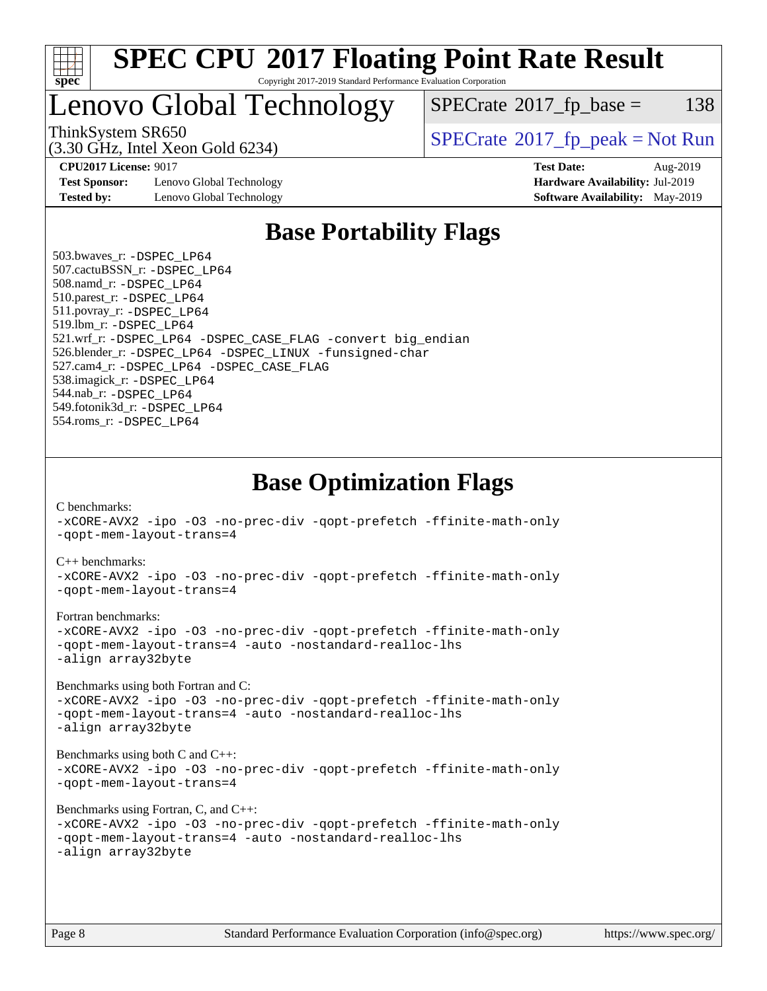

## Lenovo Global Technology

 $SPECTate@2017_fp\_base = 138$ 

(3.30 GHz, Intel Xeon Gold 6234)

ThinkSystem SR650<br>  $SPECTI<sub>2</sub>30 CI<sub>2</sub> Intel Yeso<sub>2</sub> Gold 6234$ 

**[Test Sponsor:](http://www.spec.org/auto/cpu2017/Docs/result-fields.html#TestSponsor)** Lenovo Global Technology **[Hardware Availability:](http://www.spec.org/auto/cpu2017/Docs/result-fields.html#HardwareAvailability)** Jul-2019 **[Tested by:](http://www.spec.org/auto/cpu2017/Docs/result-fields.html#Testedby)** Lenovo Global Technology **[Software Availability:](http://www.spec.org/auto/cpu2017/Docs/result-fields.html#SoftwareAvailability)** May-2019

**[CPU2017 License:](http://www.spec.org/auto/cpu2017/Docs/result-fields.html#CPU2017License)** 9017 **[Test Date:](http://www.spec.org/auto/cpu2017/Docs/result-fields.html#TestDate)** Aug-2019

### **[Base Portability Flags](http://www.spec.org/auto/cpu2017/Docs/result-fields.html#BasePortabilityFlags)**

 503.bwaves\_r: [-DSPEC\\_LP64](http://www.spec.org/cpu2017/results/res2019q3/cpu2017-20190902-17412.flags.html#suite_basePORTABILITY503_bwaves_r_DSPEC_LP64) 507.cactuBSSN\_r: [-DSPEC\\_LP64](http://www.spec.org/cpu2017/results/res2019q3/cpu2017-20190902-17412.flags.html#suite_basePORTABILITY507_cactuBSSN_r_DSPEC_LP64) 508.namd\_r: [-DSPEC\\_LP64](http://www.spec.org/cpu2017/results/res2019q3/cpu2017-20190902-17412.flags.html#suite_basePORTABILITY508_namd_r_DSPEC_LP64) 510.parest\_r: [-DSPEC\\_LP64](http://www.spec.org/cpu2017/results/res2019q3/cpu2017-20190902-17412.flags.html#suite_basePORTABILITY510_parest_r_DSPEC_LP64) 511.povray\_r: [-DSPEC\\_LP64](http://www.spec.org/cpu2017/results/res2019q3/cpu2017-20190902-17412.flags.html#suite_basePORTABILITY511_povray_r_DSPEC_LP64) 519.lbm\_r: [-DSPEC\\_LP64](http://www.spec.org/cpu2017/results/res2019q3/cpu2017-20190902-17412.flags.html#suite_basePORTABILITY519_lbm_r_DSPEC_LP64) 521.wrf\_r: [-DSPEC\\_LP64](http://www.spec.org/cpu2017/results/res2019q3/cpu2017-20190902-17412.flags.html#suite_basePORTABILITY521_wrf_r_DSPEC_LP64) [-DSPEC\\_CASE\\_FLAG](http://www.spec.org/cpu2017/results/res2019q3/cpu2017-20190902-17412.flags.html#b521.wrf_r_baseCPORTABILITY_DSPEC_CASE_FLAG) [-convert big\\_endian](http://www.spec.org/cpu2017/results/res2019q3/cpu2017-20190902-17412.flags.html#user_baseFPORTABILITY521_wrf_r_convert_big_endian_c3194028bc08c63ac5d04de18c48ce6d347e4e562e8892b8bdbdc0214820426deb8554edfa529a3fb25a586e65a3d812c835984020483e7e73212c4d31a38223) 526.blender\_r: [-DSPEC\\_LP64](http://www.spec.org/cpu2017/results/res2019q3/cpu2017-20190902-17412.flags.html#suite_basePORTABILITY526_blender_r_DSPEC_LP64) [-DSPEC\\_LINUX](http://www.spec.org/cpu2017/results/res2019q3/cpu2017-20190902-17412.flags.html#b526.blender_r_baseCPORTABILITY_DSPEC_LINUX) [-funsigned-char](http://www.spec.org/cpu2017/results/res2019q3/cpu2017-20190902-17412.flags.html#user_baseCPORTABILITY526_blender_r_force_uchar_40c60f00ab013830e2dd6774aeded3ff59883ba5a1fc5fc14077f794d777847726e2a5858cbc7672e36e1b067e7e5c1d9a74f7176df07886a243d7cc18edfe67) 527.cam4\_r: [-DSPEC\\_LP64](http://www.spec.org/cpu2017/results/res2019q3/cpu2017-20190902-17412.flags.html#suite_basePORTABILITY527_cam4_r_DSPEC_LP64) [-DSPEC\\_CASE\\_FLAG](http://www.spec.org/cpu2017/results/res2019q3/cpu2017-20190902-17412.flags.html#b527.cam4_r_baseCPORTABILITY_DSPEC_CASE_FLAG) 538.imagick\_r: [-DSPEC\\_LP64](http://www.spec.org/cpu2017/results/res2019q3/cpu2017-20190902-17412.flags.html#suite_basePORTABILITY538_imagick_r_DSPEC_LP64) 544.nab\_r: [-DSPEC\\_LP64](http://www.spec.org/cpu2017/results/res2019q3/cpu2017-20190902-17412.flags.html#suite_basePORTABILITY544_nab_r_DSPEC_LP64) 549.fotonik3d\_r: [-DSPEC\\_LP64](http://www.spec.org/cpu2017/results/res2019q3/cpu2017-20190902-17412.flags.html#suite_basePORTABILITY549_fotonik3d_r_DSPEC_LP64) 554.roms\_r: [-DSPEC\\_LP64](http://www.spec.org/cpu2017/results/res2019q3/cpu2017-20190902-17412.flags.html#suite_basePORTABILITY554_roms_r_DSPEC_LP64)

**[Base Optimization Flags](http://www.spec.org/auto/cpu2017/Docs/result-fields.html#BaseOptimizationFlags)**

[C benchmarks](http://www.spec.org/auto/cpu2017/Docs/result-fields.html#Cbenchmarks):

[-xCORE-AVX2](http://www.spec.org/cpu2017/results/res2019q3/cpu2017-20190902-17412.flags.html#user_CCbase_f-xCORE-AVX2) [-ipo](http://www.spec.org/cpu2017/results/res2019q3/cpu2017-20190902-17412.flags.html#user_CCbase_f-ipo) [-O3](http://www.spec.org/cpu2017/results/res2019q3/cpu2017-20190902-17412.flags.html#user_CCbase_f-O3) [-no-prec-div](http://www.spec.org/cpu2017/results/res2019q3/cpu2017-20190902-17412.flags.html#user_CCbase_f-no-prec-div) [-qopt-prefetch](http://www.spec.org/cpu2017/results/res2019q3/cpu2017-20190902-17412.flags.html#user_CCbase_f-qopt-prefetch) [-ffinite-math-only](http://www.spec.org/cpu2017/results/res2019q3/cpu2017-20190902-17412.flags.html#user_CCbase_f_finite_math_only_cb91587bd2077682c4b38af759c288ed7c732db004271a9512da14a4f8007909a5f1427ecbf1a0fb78ff2a814402c6114ac565ca162485bbcae155b5e4258871) [-qopt-mem-layout-trans=4](http://www.spec.org/cpu2017/results/res2019q3/cpu2017-20190902-17412.flags.html#user_CCbase_f-qopt-mem-layout-trans_fa39e755916c150a61361b7846f310bcdf6f04e385ef281cadf3647acec3f0ae266d1a1d22d972a7087a248fd4e6ca390a3634700869573d231a252c784941a8) [C++ benchmarks:](http://www.spec.org/auto/cpu2017/Docs/result-fields.html#CXXbenchmarks) [-xCORE-AVX2](http://www.spec.org/cpu2017/results/res2019q3/cpu2017-20190902-17412.flags.html#user_CXXbase_f-xCORE-AVX2) [-ipo](http://www.spec.org/cpu2017/results/res2019q3/cpu2017-20190902-17412.flags.html#user_CXXbase_f-ipo) [-O3](http://www.spec.org/cpu2017/results/res2019q3/cpu2017-20190902-17412.flags.html#user_CXXbase_f-O3) [-no-prec-div](http://www.spec.org/cpu2017/results/res2019q3/cpu2017-20190902-17412.flags.html#user_CXXbase_f-no-prec-div) [-qopt-prefetch](http://www.spec.org/cpu2017/results/res2019q3/cpu2017-20190902-17412.flags.html#user_CXXbase_f-qopt-prefetch) [-ffinite-math-only](http://www.spec.org/cpu2017/results/res2019q3/cpu2017-20190902-17412.flags.html#user_CXXbase_f_finite_math_only_cb91587bd2077682c4b38af759c288ed7c732db004271a9512da14a4f8007909a5f1427ecbf1a0fb78ff2a814402c6114ac565ca162485bbcae155b5e4258871) [-qopt-mem-layout-trans=4](http://www.spec.org/cpu2017/results/res2019q3/cpu2017-20190902-17412.flags.html#user_CXXbase_f-qopt-mem-layout-trans_fa39e755916c150a61361b7846f310bcdf6f04e385ef281cadf3647acec3f0ae266d1a1d22d972a7087a248fd4e6ca390a3634700869573d231a252c784941a8) [Fortran benchmarks](http://www.spec.org/auto/cpu2017/Docs/result-fields.html#Fortranbenchmarks): [-xCORE-AVX2](http://www.spec.org/cpu2017/results/res2019q3/cpu2017-20190902-17412.flags.html#user_FCbase_f-xCORE-AVX2) [-ipo](http://www.spec.org/cpu2017/results/res2019q3/cpu2017-20190902-17412.flags.html#user_FCbase_f-ipo) [-O3](http://www.spec.org/cpu2017/results/res2019q3/cpu2017-20190902-17412.flags.html#user_FCbase_f-O3) [-no-prec-div](http://www.spec.org/cpu2017/results/res2019q3/cpu2017-20190902-17412.flags.html#user_FCbase_f-no-prec-div) [-qopt-prefetch](http://www.spec.org/cpu2017/results/res2019q3/cpu2017-20190902-17412.flags.html#user_FCbase_f-qopt-prefetch) [-ffinite-math-only](http://www.spec.org/cpu2017/results/res2019q3/cpu2017-20190902-17412.flags.html#user_FCbase_f_finite_math_only_cb91587bd2077682c4b38af759c288ed7c732db004271a9512da14a4f8007909a5f1427ecbf1a0fb78ff2a814402c6114ac565ca162485bbcae155b5e4258871) [-qopt-mem-layout-trans=4](http://www.spec.org/cpu2017/results/res2019q3/cpu2017-20190902-17412.flags.html#user_FCbase_f-qopt-mem-layout-trans_fa39e755916c150a61361b7846f310bcdf6f04e385ef281cadf3647acec3f0ae266d1a1d22d972a7087a248fd4e6ca390a3634700869573d231a252c784941a8) [-auto](http://www.spec.org/cpu2017/results/res2019q3/cpu2017-20190902-17412.flags.html#user_FCbase_f-auto) [-nostandard-realloc-lhs](http://www.spec.org/cpu2017/results/res2019q3/cpu2017-20190902-17412.flags.html#user_FCbase_f_2003_std_realloc_82b4557e90729c0f113870c07e44d33d6f5a304b4f63d4c15d2d0f1fab99f5daaed73bdb9275d9ae411527f28b936061aa8b9c8f2d63842963b95c9dd6426b8a) [-align array32byte](http://www.spec.org/cpu2017/results/res2019q3/cpu2017-20190902-17412.flags.html#user_FCbase_align_array32byte_b982fe038af199962ba9a80c053b8342c548c85b40b8e86eb3cc33dee0d7986a4af373ac2d51c3f7cf710a18d62fdce2948f201cd044323541f22fc0fffc51b6) [Benchmarks using both Fortran and C](http://www.spec.org/auto/cpu2017/Docs/result-fields.html#BenchmarksusingbothFortranandC): [-xCORE-AVX2](http://www.spec.org/cpu2017/results/res2019q3/cpu2017-20190902-17412.flags.html#user_CC_FCbase_f-xCORE-AVX2) [-ipo](http://www.spec.org/cpu2017/results/res2019q3/cpu2017-20190902-17412.flags.html#user_CC_FCbase_f-ipo) [-O3](http://www.spec.org/cpu2017/results/res2019q3/cpu2017-20190902-17412.flags.html#user_CC_FCbase_f-O3) [-no-prec-div](http://www.spec.org/cpu2017/results/res2019q3/cpu2017-20190902-17412.flags.html#user_CC_FCbase_f-no-prec-div) [-qopt-prefetch](http://www.spec.org/cpu2017/results/res2019q3/cpu2017-20190902-17412.flags.html#user_CC_FCbase_f-qopt-prefetch) [-ffinite-math-only](http://www.spec.org/cpu2017/results/res2019q3/cpu2017-20190902-17412.flags.html#user_CC_FCbase_f_finite_math_only_cb91587bd2077682c4b38af759c288ed7c732db004271a9512da14a4f8007909a5f1427ecbf1a0fb78ff2a814402c6114ac565ca162485bbcae155b5e4258871) [-qopt-mem-layout-trans=4](http://www.spec.org/cpu2017/results/res2019q3/cpu2017-20190902-17412.flags.html#user_CC_FCbase_f-qopt-mem-layout-trans_fa39e755916c150a61361b7846f310bcdf6f04e385ef281cadf3647acec3f0ae266d1a1d22d972a7087a248fd4e6ca390a3634700869573d231a252c784941a8) [-auto](http://www.spec.org/cpu2017/results/res2019q3/cpu2017-20190902-17412.flags.html#user_CC_FCbase_f-auto) [-nostandard-realloc-lhs](http://www.spec.org/cpu2017/results/res2019q3/cpu2017-20190902-17412.flags.html#user_CC_FCbase_f_2003_std_realloc_82b4557e90729c0f113870c07e44d33d6f5a304b4f63d4c15d2d0f1fab99f5daaed73bdb9275d9ae411527f28b936061aa8b9c8f2d63842963b95c9dd6426b8a) [-align array32byte](http://www.spec.org/cpu2017/results/res2019q3/cpu2017-20190902-17412.flags.html#user_CC_FCbase_align_array32byte_b982fe038af199962ba9a80c053b8342c548c85b40b8e86eb3cc33dee0d7986a4af373ac2d51c3f7cf710a18d62fdce2948f201cd044323541f22fc0fffc51b6) [Benchmarks using both C and C++](http://www.spec.org/auto/cpu2017/Docs/result-fields.html#BenchmarksusingbothCandCXX): [-xCORE-AVX2](http://www.spec.org/cpu2017/results/res2019q3/cpu2017-20190902-17412.flags.html#user_CC_CXXbase_f-xCORE-AVX2) [-ipo](http://www.spec.org/cpu2017/results/res2019q3/cpu2017-20190902-17412.flags.html#user_CC_CXXbase_f-ipo) [-O3](http://www.spec.org/cpu2017/results/res2019q3/cpu2017-20190902-17412.flags.html#user_CC_CXXbase_f-O3) [-no-prec-div](http://www.spec.org/cpu2017/results/res2019q3/cpu2017-20190902-17412.flags.html#user_CC_CXXbase_f-no-prec-div) [-qopt-prefetch](http://www.spec.org/cpu2017/results/res2019q3/cpu2017-20190902-17412.flags.html#user_CC_CXXbase_f-qopt-prefetch) [-ffinite-math-only](http://www.spec.org/cpu2017/results/res2019q3/cpu2017-20190902-17412.flags.html#user_CC_CXXbase_f_finite_math_only_cb91587bd2077682c4b38af759c288ed7c732db004271a9512da14a4f8007909a5f1427ecbf1a0fb78ff2a814402c6114ac565ca162485bbcae155b5e4258871) [-qopt-mem-layout-trans=4](http://www.spec.org/cpu2017/results/res2019q3/cpu2017-20190902-17412.flags.html#user_CC_CXXbase_f-qopt-mem-layout-trans_fa39e755916c150a61361b7846f310bcdf6f04e385ef281cadf3647acec3f0ae266d1a1d22d972a7087a248fd4e6ca390a3634700869573d231a252c784941a8) [Benchmarks using Fortran, C, and C++:](http://www.spec.org/auto/cpu2017/Docs/result-fields.html#BenchmarksusingFortranCandCXX) [-xCORE-AVX2](http://www.spec.org/cpu2017/results/res2019q3/cpu2017-20190902-17412.flags.html#user_CC_CXX_FCbase_f-xCORE-AVX2) [-ipo](http://www.spec.org/cpu2017/results/res2019q3/cpu2017-20190902-17412.flags.html#user_CC_CXX_FCbase_f-ipo) [-O3](http://www.spec.org/cpu2017/results/res2019q3/cpu2017-20190902-17412.flags.html#user_CC_CXX_FCbase_f-O3) [-no-prec-div](http://www.spec.org/cpu2017/results/res2019q3/cpu2017-20190902-17412.flags.html#user_CC_CXX_FCbase_f-no-prec-div) [-qopt-prefetch](http://www.spec.org/cpu2017/results/res2019q3/cpu2017-20190902-17412.flags.html#user_CC_CXX_FCbase_f-qopt-prefetch) [-ffinite-math-only](http://www.spec.org/cpu2017/results/res2019q3/cpu2017-20190902-17412.flags.html#user_CC_CXX_FCbase_f_finite_math_only_cb91587bd2077682c4b38af759c288ed7c732db004271a9512da14a4f8007909a5f1427ecbf1a0fb78ff2a814402c6114ac565ca162485bbcae155b5e4258871) [-qopt-mem-layout-trans=4](http://www.spec.org/cpu2017/results/res2019q3/cpu2017-20190902-17412.flags.html#user_CC_CXX_FCbase_f-qopt-mem-layout-trans_fa39e755916c150a61361b7846f310bcdf6f04e385ef281cadf3647acec3f0ae266d1a1d22d972a7087a248fd4e6ca390a3634700869573d231a252c784941a8) [-auto](http://www.spec.org/cpu2017/results/res2019q3/cpu2017-20190902-17412.flags.html#user_CC_CXX_FCbase_f-auto) [-nostandard-realloc-lhs](http://www.spec.org/cpu2017/results/res2019q3/cpu2017-20190902-17412.flags.html#user_CC_CXX_FCbase_f_2003_std_realloc_82b4557e90729c0f113870c07e44d33d6f5a304b4f63d4c15d2d0f1fab99f5daaed73bdb9275d9ae411527f28b936061aa8b9c8f2d63842963b95c9dd6426b8a) [-align array32byte](http://www.spec.org/cpu2017/results/res2019q3/cpu2017-20190902-17412.flags.html#user_CC_CXX_FCbase_align_array32byte_b982fe038af199962ba9a80c053b8342c548c85b40b8e86eb3cc33dee0d7986a4af373ac2d51c3f7cf710a18d62fdce2948f201cd044323541f22fc0fffc51b6)